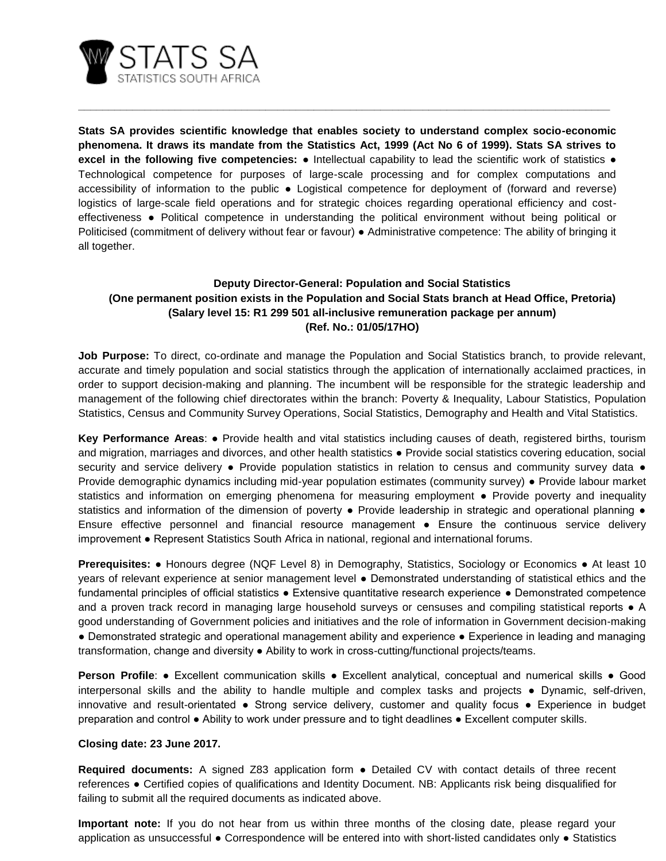

**Stats SA provides scientific knowledge that enables society to understand complex socio-economic phenomena. It draws its mandate from the Statistics Act, 1999 (Act No 6 of 1999). Stats SA strives to excel in the following five competencies:** ● Intellectual capability to lead the scientific work of statistics ● Technological competence for purposes of large-scale processing and for complex computations and accessibility of information to the public ● Logistical competence for deployment of (forward and reverse) logistics of large-scale field operations and for strategic choices regarding operational efficiency and costeffectiveness ● Political competence in understanding the political environment without being political or Politicised (commitment of delivery without fear or favour) ● Administrative competence: The ability of bringing it all together.

**\_\_\_\_\_\_\_\_\_\_\_\_\_\_\_\_\_\_\_\_\_\_\_\_\_\_\_\_\_\_\_\_\_\_\_\_\_\_\_\_\_\_\_\_\_\_\_\_\_\_\_\_\_\_\_\_\_\_\_\_\_\_\_\_\_\_\_\_\_\_\_\_\_\_\_\_\_\_\_\_\_\_\_\_\_\_\_\_**

## **Deputy Director-General: Population and Social Statistics (One permanent position exists in the Population and Social Stats branch at Head Office, Pretoria) (Salary level 15: R1 299 501 all-inclusive remuneration package per annum) (Ref. No.: 01/05/17HO)**

**Job Purpose:** To direct, co-ordinate and manage the Population and Social Statistics branch, to provide relevant, accurate and timely population and social statistics through the application of internationally acclaimed practices, in order to support decision-making and planning. The incumbent will be responsible for the strategic leadership and management of the following chief directorates within the branch: Poverty & Inequality, Labour Statistics, Population Statistics, Census and Community Survey Operations, Social Statistics, Demography and Health and Vital Statistics.

**Key Performance Areas**: ● Provide health and vital statistics including causes of death, registered births, tourism and migration, marriages and divorces, and other health statistics • Provide social statistics covering education, social security and service delivery • Provide population statistics in relation to census and community survey data • Provide demographic dynamics including mid-year population estimates (community survey) ● Provide labour market statistics and information on emerging phenomena for measuring employment • Provide poverty and inequality statistics and information of the dimension of poverty • Provide leadership in strategic and operational planning • Ensure effective personnel and financial resource management ● Ensure the continuous service delivery improvement ● Represent Statistics South Africa in national, regional and international forums.

**Prerequisites:** ● Honours degree (NQF Level 8) in Demography, Statistics, Sociology or Economics ● At least 10 years of relevant experience at senior management level ● Demonstrated understanding of statistical ethics and the fundamental principles of official statistics ● Extensive quantitative research experience ● Demonstrated competence and a proven track record in managing large household surveys or censuses and compiling statistical reports • A good understanding of Government policies and initiatives and the role of information in Government decision-making ● Demonstrated strategic and operational management ability and experience ● Experience in leading and managing transformation, change and diversity ● Ability to work in cross-cutting/functional projects/teams.

**Person Profile**: • Excellent communication skills • Excellent analytical, conceptual and numerical skills • Good interpersonal skills and the ability to handle multiple and complex tasks and projects ● Dynamic, self-driven, innovative and result-orientated ● Strong service delivery, customer and quality focus ● Experience in budget preparation and control ● Ability to work under pressure and to tight deadlines ● Excellent computer skills.

## **Closing date: 23 June 2017.**

**Required documents:** A signed Z83 application form ● Detailed CV with contact details of three recent references ● Certified copies of qualifications and Identity Document. NB: Applicants risk being disqualified for failing to submit all the required documents as indicated above.

**Important note:** If you do not hear from us within three months of the closing date, please regard your application as unsuccessful ● Correspondence will be entered into with short-listed candidates only ● Statistics